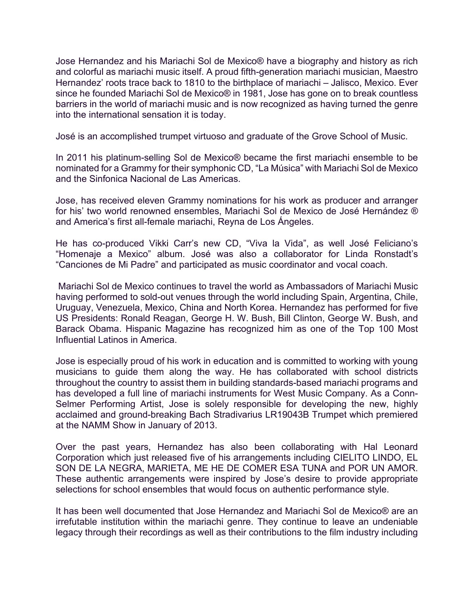Jose Hernandez and his Mariachi Sol de Mexico® have a biography and history as rich and colorful as mariachi music itself. A proud fifth-generation mariachi musician, Maestro Hernandez' roots trace back to 1810 to the birthplace of mariachi – Jalisco, Mexico. Ever since he founded Mariachi Sol de Mexico® in 1981, Jose has gone on to break countless barriers in the world of mariachi music and is now recognized as having turned the genre into the international sensation it is today.

José is an accomplished trumpet virtuoso and graduate of the Grove School of Music.

In 2011 his platinum-selling Sol de Mexico® became the first mariachi ensemble to be nominated for a Grammy for their symphonic CD, "La Música" with Mariachi Sol de Mexico and the Sinfonica Nacional de Las Americas.

Jose, has received eleven Grammy nominations for his work as producer and arranger for his' two world renowned ensembles, Mariachi Sol de Mexico de José Hernández ® and America's first all-female mariachi, Reyna de Los Ángeles.

He has co-produced Vikki Carr's new CD, "Viva la Vida", as well José Feliciano's "Homenaje a Mexico" album. José was also a collaborator for Linda Ronstadt's "Canciones de Mi Padre" and participated as music coordinator and vocal coach.

Mariachi Sol de Mexico continues to travel the world as Ambassadors of Mariachi Music having performed to sold-out venues through the world including Spain, Argentina, Chile, Uruguay, Venezuela, Mexico, China and North Korea. Hernandez has performed for five US Presidents: Ronald Reagan, George H. W. Bush, Bill Clinton, George W. Bush, and Barack Obama. Hispanic Magazine has recognized him as one of the Top 100 Most Influential Latinos in America.

Jose is especially proud of his work in education and is committed to working with young musicians to guide them along the way. He has collaborated with school districts throughout the country to assist them in building standards-based mariachi programs and has developed a full line of mariachi instruments for West Music Company. As a Conn-Selmer Performing Artist, Jose is solely responsible for developing the new, highly acclaimed and ground-breaking Bach Stradivarius LR19043B Trumpet which premiered at the NAMM Show in January of 2013.

Over the past years, Hernandez has also been collaborating with Hal Leonard Corporation which just released five of his arrangements including CIELITO LINDO, EL SON DE LA NEGRA, MARIETA, ME HE DE COMER ESA TUNA and POR UN AMOR. These authentic arrangements were inspired by Jose's desire to provide appropriate selections for school ensembles that would focus on authentic performance style.

It has been well documented that Jose Hernandez and Mariachi Sol de Mexico® are an irrefutable institution within the mariachi genre. They continue to leave an undeniable legacy through their recordings as well as their contributions to the film industry including